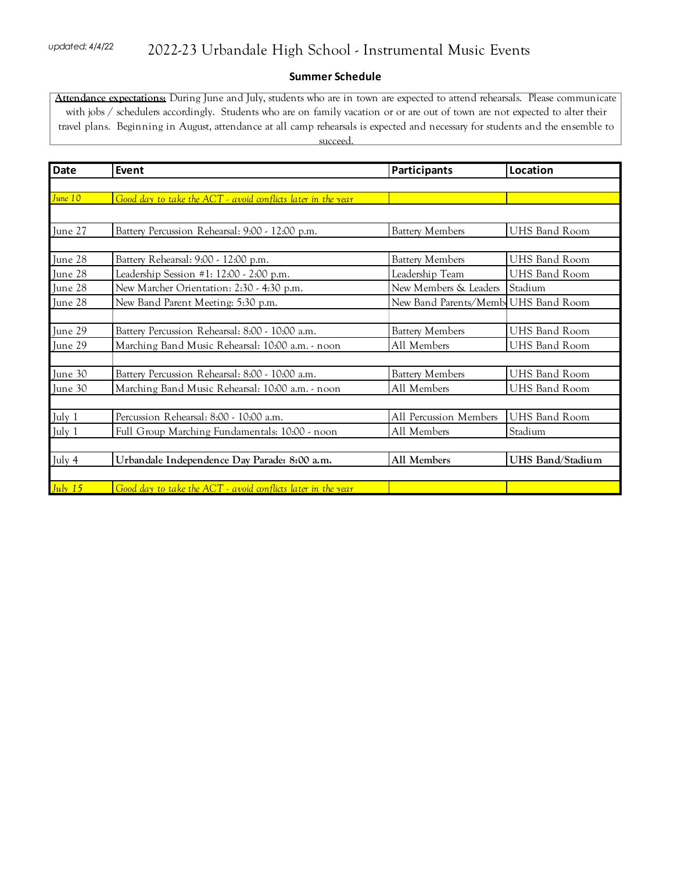## **Summer Schedule**

**Attendance expectations:** During June and July, students who are in town are expected to attend rehearsals. Please communicate with jobs / schedulers accordingly. Students who are on family vacation or or are out of town are not expected to alter their travel plans. Beginning in August, attendance at all camp rehearsals is expected and necessary for students and the ensemble to succeed.

| <b>Date</b> | Event                                                        | Participants                        | Location             |
|-------------|--------------------------------------------------------------|-------------------------------------|----------------------|
|             |                                                              |                                     |                      |
| June 10     | Good day to take the ACT - avoid conflicts later in the year |                                     |                      |
|             |                                                              |                                     |                      |
| June 27     | Battery Percussion Rehearsal: 9:00 - 12:00 p.m.              | <b>Battery Members</b>              | <b>UHS Band Room</b> |
|             |                                                              |                                     |                      |
| June 28     | Battery Rehearsal: 9:00 - 12:00 p.m.                         | <b>Battery Members</b>              | <b>UHS Band Room</b> |
| June 28     | Leadership Session #1: 12:00 - 2:00 p.m.                     | Leadership Team                     | UHS Band Room        |
| June 28     | New Marcher Orientation: 2:30 - 4:30 p.m.                    | New Members & Leaders               | Stadium              |
| June 28     | New Band Parent Meeting: 5:30 p.m.                           | New Band Parents/Memb UHS Band Room |                      |
|             |                                                              |                                     |                      |
| June 29     | Battery Percussion Rehearsal: 8:00 - 10:00 a.m.              | <b>Battery Members</b>              | UHS Band Room        |
| June 29     | Marching Band Music Rehearsal: 10:00 a.m. - noon             | All Members                         | UHS Band Room        |
|             |                                                              |                                     |                      |
| June 30     | Battery Percussion Rehearsal: 8:00 - 10:00 a.m.              | <b>Battery Members</b>              | <b>UHS Band Room</b> |
| June 30     | Marching Band Music Rehearsal: 10:00 a.m. - noon             | All Members                         | <b>UHS Band Room</b> |
|             |                                                              |                                     |                      |
| July 1      | Percussion Rehearsal: 8:00 - 10:00 a.m.                      | All Percussion Members              | <b>UHS Band Room</b> |
| July 1      | Full Group Marching Fundamentals: 10:00 - noon               | All Members                         | Stadium              |
|             |                                                              |                                     |                      |
| July 4      | Urbandale Independence Day Parade: 8:00 a.m.                 | All Members                         | UHS Band/Stadium     |
|             |                                                              |                                     |                      |
| July $15$   | Good day to take the ACT - avoid conflicts later in the year |                                     |                      |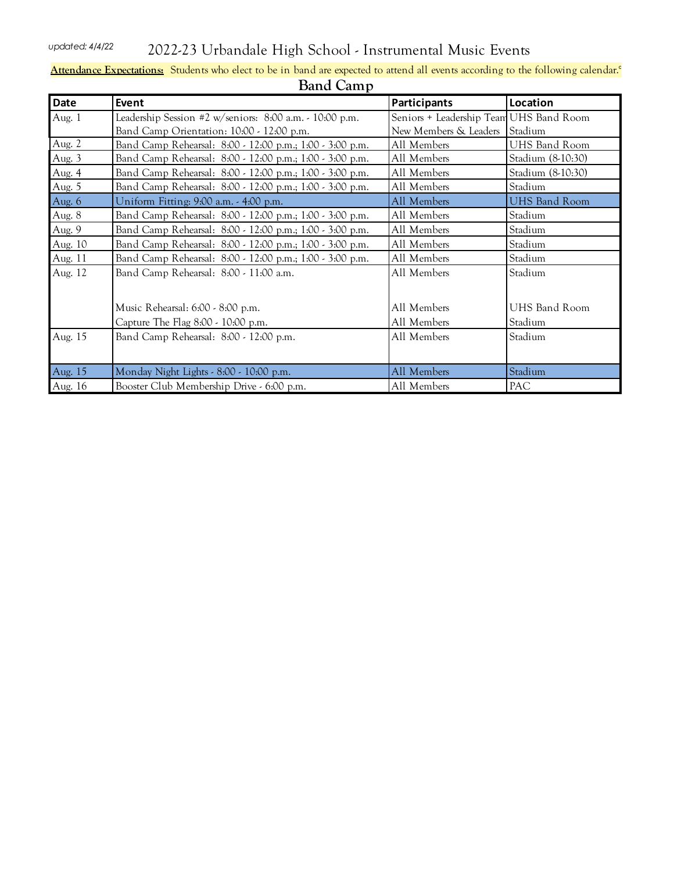*updated: 4/4/22* 2022-23 Urbandale High School - Instrumental Music Events

| <b>Band Camp</b> |                                                          |                                         |                      |  |  |
|------------------|----------------------------------------------------------|-----------------------------------------|----------------------|--|--|
| Date             | Event                                                    | Participants                            | Location             |  |  |
| Aug. 1           | Leadership Session #2 w/seniors: 8:00 a.m. - 10:00 p.m.  | Seniors + Leadership Team UHS Band Room |                      |  |  |
|                  | Band Camp Orientation: 10:00 - 12:00 p.m.                | New Members & Leaders                   | Stadium              |  |  |
| Aug. 2           | Band Camp Rehearsal: 8:00 - 12:00 p.m.; 1:00 - 3:00 p.m. | All Members                             | <b>UHS Band Room</b> |  |  |
| Aug. 3           | Band Camp Rehearsal: 8:00 - 12:00 p.m.; 1:00 - 3:00 p.m. | All Members                             | Stadium (8-10:30)    |  |  |
| Aug. 4           | Band Camp Rehearsal: 8:00 - 12:00 p.m.; 1:00 - 3:00 p.m. | All Members                             | Stadium (8-10:30)    |  |  |
| Aug. 5           | Band Camp Rehearsal: 8:00 - 12:00 p.m.; 1:00 - 3:00 p.m. | All Members                             | Stadium              |  |  |
| Aug. 6           | Uniform Fitting: 9:00 a.m. - 4:00 p.m.                   | All Members                             | UHS Band Room        |  |  |
| Aug. 8           | Band Camp Rehearsal: 8:00 - 12:00 p.m.; 1:00 - 3:00 p.m. | All Members                             | Stadium              |  |  |
| Aug. 9           | Band Camp Rehearsal: 8:00 - 12:00 p.m.; 1:00 - 3:00 p.m. | All Members                             | Stadium              |  |  |
| Aug. 10          | Band Camp Rehearsal: 8:00 - 12:00 p.m.; 1:00 - 3:00 p.m. | All Members                             | Stadium              |  |  |
| Aug. 11          | Band Camp Rehearsal: 8:00 - 12:00 p.m.; 1:00 - 3:00 p.m. | All Members                             | Stadium              |  |  |
| Aug. 12          | Band Camp Rehearsal: 8:00 - 11:00 a.m.                   | All Members                             | Stadium              |  |  |
|                  |                                                          |                                         |                      |  |  |
|                  | Music Rehearsal: 6:00 - 8:00 p.m.                        | All Members                             | UHS Band Room        |  |  |
|                  | Capture The Flag 8:00 - 10:00 p.m.                       | All Members                             | Stadium              |  |  |
| Aug. 15          | Band Camp Rehearsal: 8:00 - 12:00 p.m.                   | All Members                             | Stadium              |  |  |
|                  |                                                          |                                         |                      |  |  |
| Aug. 15          | Monday Night Lights - 8:00 - 10:00 p.m.                  | All Members                             | Stadium              |  |  |
| Aug. 16          | Booster Club Membership Drive - 6:00 p.m.                | All Members                             | PAC                  |  |  |

## **Attendance Expectations:** Students who elect to be in band are expected to attend all events according to the following calendar.°